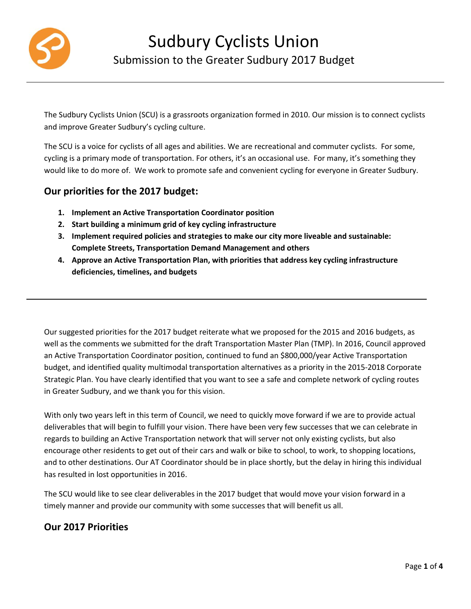

The Sudbury Cyclists Union (SCU) is a grassroots organization formed in 2010. Our mission is to connect cyclists and improve Greater Sudbury's cycling culture.

The SCU is a voice for cyclists of all ages and abilities. We are recreational and commuter cyclists. For some, cycling is a primary mode of transportation. For others, it's an occasional use. For many, it's something they would like to do more of. We work to promote safe and convenient cycling for everyone in Greater Sudbury.

# **Our priorities for the 2017 budget:**

- **1. Implement an Active Transportation Coordinator position**
- **2. Start building a minimum grid of key cycling infrastructure**
- **3. Implement required policies and strategies to make our city more liveable and sustainable: Complete Streets, Transportation Demand Management and others**
- **4. Approve an Active Transportation Plan, with priorities that address key cycling infrastructure deficiencies, timelines, and budgets**

Our suggested priorities for the 2017 budget reiterate what we proposed for the 2015 and 2016 budgets, as well as the comments we submitted for the draft Transportation Master Plan (TMP). In 2016, Council approved an Active Transportation Coordinator position, continued to fund an \$800,000/year Active Transportation budget, and identified quality multimodal transportation alternatives as a priority in the 2015-2018 Corporate Strategic Plan. You have clearly identified that you want to see a safe and complete network of cycling routes in Greater Sudbury, and we thank you for this vision.

With only two years left in this term of Council, we need to quickly move forward if we are to provide actual deliverables that will begin to fulfill your vision. There have been very few successes that we can celebrate in regards to building an Active Transportation network that will server not only existing cyclists, but also encourage other residents to get out of their cars and walk or bike to school, to work, to shopping locations, and to other destinations. Our AT Coordinator should be in place shortly, but the delay in hiring this individual has resulted in lost opportunities in 2016.

The SCU would like to see clear deliverables in the 2017 budget that would move your vision forward in a timely manner and provide our community with some successes that will benefit us all.

# **Our 2017 Priorities**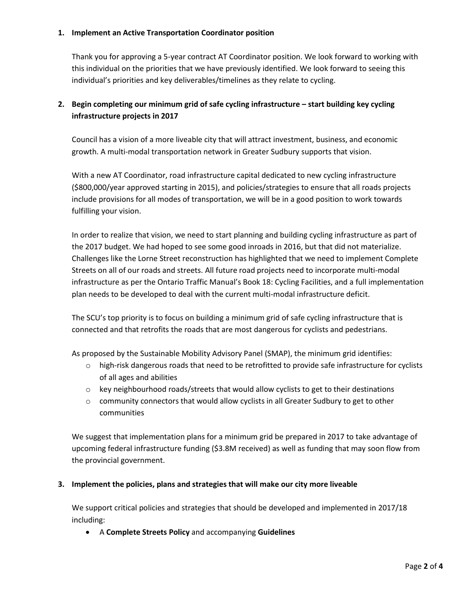#### **1. Implement an Active Transportation Coordinator position**

Thank you for approving a 5-year contract AT Coordinator position. We look forward to working with this individual on the priorities that we have previously identified. We look forward to seeing this individual's priorities and key deliverables/timelines as they relate to cycling.

## **2.** Begin completing our minimum grid of safe cycling infrastructure – start building key cycling **infrastructure projects in 2017**

Council has a vision of a more liveable city that will attract investment, business, and economic growth. A multi-modal transportation network in Greater Sudbury supports that vision.

With a new AT Coordinator, road infrastructure capital dedicated to new cycling infrastructure (\$800,000/year approved starting in 2015), and policies/strategies to ensure that all roads projects include provisions for all modes of transportation, we will be in a good position to work towards fulfilling your vision.

In order to realize that vision, we need to start planning and building cycling infrastructure as part of the 2017 budget. We had hoped to see some good inroads in 2016, but that did not materialize. Challenges like the Lorne Street reconstruction has highlighted that we need to implement Complete Streets on all of our roads and streets. All future road projects need to incorporate multi-modal infrastructure as per the Ontario Traffic Manual's Book 18: Cycling Facilities, and a full implementation plan needs to be developed to deal with the current multi-modal infrastructure deficit.

The SCU's top priority is to focus on building a minimum grid of safe cycling infrastructure that is connected and that retrofits the roads that are most dangerous for cyclists and pedestrians.

As proposed by the Sustainable Mobility Advisory Panel (SMAP), the minimum grid identifies:

- o high-risk dangerous roads that need to be retrofitted to provide safe infrastructure for cyclists of all ages and abilities
- $\circ$  key neighbourhood roads/streets that would allow cyclists to get to their destinations
- o community connectors that would allow cyclists in all Greater Sudbury to get to other communities

We suggest that implementation plans for a minimum grid be prepared in 2017 to take advantage of upcoming federal infrastructure funding (\$3.8M received) as well as funding that may soon flow from the provincial government.

### **3. Implement the policies, plans and strategies that will make our city more liveable**

We support critical policies and strategies that should be developed and implemented in 2017/18 including:

A **Complete Streets Policy** and accompanying **Guidelines**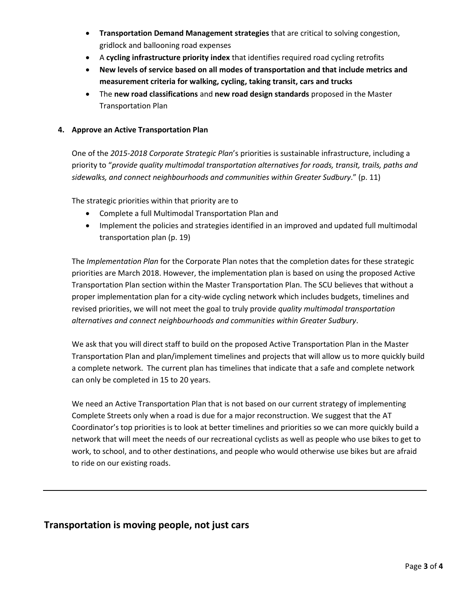- **Transportation Demand Management strategies** that are critical to solving congestion, gridlock and ballooning road expenses
- A **cycling infrastructure priority index** that identifies required road cycling retrofits
- **New levels of service based on all modes of transportation and that include metrics and measurement criteria for walking, cycling, taking transit, cars and trucks**
- The **new road classifications** and **new road design standards** proposed in the Master Transportation Plan

### **4. Approve an Active Transportation Plan**

One of the *2015-2018 Corporate Strategic Plan*'s priorities is sustainable infrastructure, including a priority to "*provide quality multimodal transportation alternatives for roads, transit, trails, paths and sidewalks, and connect neighbourhoods and communities within Greater Sudbury*." (p. 11)

The strategic priorities within that priority are to

- Complete a full Multimodal Transportation Plan and
- Implement the policies and strategies identified in an improved and updated full multimodal transportation plan (p. 19)

The *Implementation Plan* for the Corporate Plan notes that the completion dates for these strategic priorities are March 2018. However, the implementation plan is based on using the proposed Active Transportation Plan section within the Master Transportation Plan. The SCU believes that without a proper implementation plan for a city-wide cycling network which includes budgets, timelines and revised priorities, we will not meet the goal to truly provide *quality multimodal transportation alternatives and connect neighbourhoods and communities within Greater Sudbury*.

We ask that you will direct staff to build on the proposed Active Transportation Plan in the Master Transportation Plan and plan/implement timelines and projects that will allow us to more quickly build a complete network. The current plan has timelines that indicate that a safe and complete network can only be completed in 15 to 20 years.

We need an Active Transportation Plan that is not based on our current strategy of implementing Complete Streets only when a road is due for a major reconstruction. We suggest that the AT Coordinator's top priorities is to look at better timelines and priorities so we can more quickly build a network that will meet the needs of our recreational cyclists as well as people who use bikes to get to work, to school, and to other destinations, and people who would otherwise use bikes but are afraid to ride on our existing roads.

## **Transportation is moving people, not just cars**